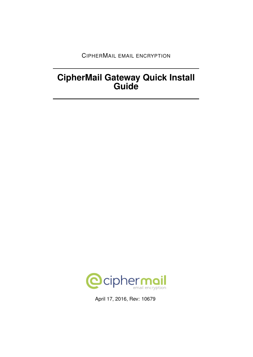CIPHERMAIL EMAIL ENCRYPTION

# **CipherMail Gateway Quick Install Guide**



April 17, 2016, Rev: 10679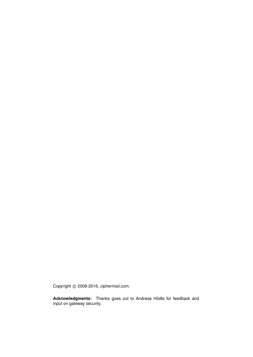Copyright © 2008-2016, ciphermail.com.

**Acknowledgments:** Thanks goes out to Andreas Hödle for feedback and input on gateway security.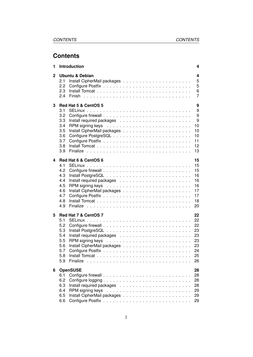# **Contents**

| 1 | <b>Introduction</b>                                                                 | 4                                                        |
|---|-------------------------------------------------------------------------------------|----------------------------------------------------------|
| 2 | <b>Ubuntu &amp; Debian</b><br>2.1<br>2.2<br>2.3<br>2.4                              | 4<br>5<br>5<br>6<br>7                                    |
| 3 | Red Hat 5 & CentOS 5<br>3.1<br>3.2<br>3.3<br>3.4<br>3.5<br>3.6<br>3.7<br>3.8<br>3.9 | 9<br>9<br>9<br>9<br>10<br>10<br>10<br>11<br>12<br>13     |
| 4 | Red Hat 6 & CentOS 6<br>4.1<br>4.2<br>4.3<br>4.4<br>4.5<br>4.6<br>4.7<br>4.8<br>4.9 | 15<br>15<br>15<br>16<br>16<br>16<br>17<br>17<br>18<br>20 |
| 5 | Red Hat 7 & CentOS 7<br>5.1<br>5.2<br>5.3<br>5.4<br>5.5<br>5.6<br>5.7<br>5.8<br>5.9 | 22<br>22<br>22<br>23<br>23<br>23<br>23<br>24<br>25<br>26 |
| 6 | <b>OpenSUSE</b><br>6.1<br>6.2<br>6.3<br>6.4<br>6.5<br>6.6                           | 28<br>28<br>28<br>28<br>29<br>29<br>29                   |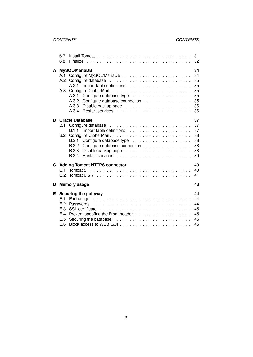|   | 6.7<br>6.8                                                                                                                                                                                                                                                                                                   |                                                                                       | 31<br>32                                           |
|---|--------------------------------------------------------------------------------------------------------------------------------------------------------------------------------------------------------------------------------------------------------------------------------------------------------------|---------------------------------------------------------------------------------------|----------------------------------------------------|
| A | A.3                                                                                                                                                                                                                                                                                                          | MySQL/MariaDB<br>A.2.1<br>Configure CipherMail<br>A.3.2 Configure database connection | 34<br>34<br>35<br>35<br>35<br>35<br>35<br>36<br>36 |
| B | B.1<br>B.2                                                                                                                                                                                                                                                                                                   | <b>Oracle Database</b><br>Configure CipherMail<br>B.2.2 Configure database connection | 37<br>37<br>37<br>38<br>38<br>38<br>38<br>39       |
|   | C.1                                                                                                                                                                                                                                                                                                          | <b>C</b> Adding Tomcat HTTPS connector<br>Tomcat 5                                    | 40<br>40<br>41                                     |
| D |                                                                                                                                                                                                                                                                                                              | <b>Memory usage</b>                                                                   | 43                                                 |
| Е | Securing the gateway<br>Port usage enterprised by the contract of the contract of the contract of the contract of the contract of the contract of the contract of the contract of the contract of the contract of the contract of the contract of the<br>E.1<br>E.2<br>Passwords<br>E.3<br>E.4<br>E.5<br>E.6 |                                                                                       | 44<br>44<br>44<br>45<br>45<br>45<br>45             |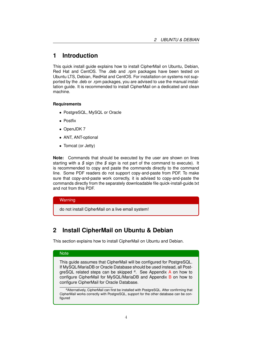# <span id="page-4-0"></span>**1 Introduction**

This quick install guide explains how to install CipherMail on Ubuntu, Debian, Red Hat and CentOS. The .deb and .rpm packages have been tested on Ubuntu LTS, Debian, RedHat and CentOS. For installation on systems not supported by the .deb or .rpm packages, you are advised to use the manual installation guide. It is recommended to install CipherMail on a dedicated and clean machine.

#### **Requirements**

- PostgreSQL, MySQL or Oracle
- Postfix
- OpenJDK 7
- ANT, ANT-optional
- Tomcat (or Jetty)

**Note:** Commands that should be executed by the user are shown on lines starting with a *\$* sign (the *\$* sign is not part of the command to execute). It is recommended to copy and paste the commands directly to the command line. Some PDF readers do not support copy-and-paste from PDF. To make sure that copy-and-paste work correctly, it is advised to copy-and-paste the commands directly from the separately downloadable file quick-install-guide.txt and not from this PDF.

### **Warning**

do not install CipherMail on a live email system!

# <span id="page-4-1"></span>**2 Install CipherMail on Ubuntu & Debian**

This section explains how to install CipherMail on Ubuntu and Debian.

### **Note**

This guide assumes that CipherMail will be configured for PostgreSQL. If MySQL/MariaDB or Oracle Database should be used instead, all PostgreSQL related steps can be skipped *<sup>a</sup>* . See Appendix [A](#page-34-0) on how to configure CipherMail for MySQL/MariaDB and Appendix [B](#page-37-0) on how to configure CipherMail for Oracle Database.

*<sup>a</sup>*Alternatively, CipherMail can first be installed with PostgreSQL. After confirming that CipherMail works correctly with PostgreSQL, support for the other database can be configured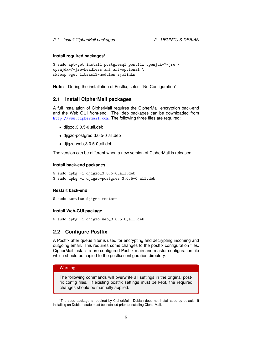#### **Install required packages**<sup>1</sup>

```
$ sudo apt-get install postgresql postfix openjdk-7-jre \
openjdk-7-jre-headless ant ant-optional \
mktemp wget libsasl2-modules symlinks
```
**Note:** During the installation of Postfix, select "No Configuration".

### <span id="page-5-0"></span>**2.1 Install CipherMail packages**

A full installation of CipherMail requires the CipherMail encryption back-end and the Web GUI front-end. The .deb packages can be downloaded from <http://www.ciphermail.com>. The following three files are required:

- djigzo 3.0.5-0 all.deb
- djigzo-postgres 3.0.5-0 all.deb
- djigzo-web 3.0.5-0 all.deb

The version can be different when a new version of CipherMail is released.

#### **Install back-end packages**

```
$ sudo dpkg -i djigzo_3.0.5-0_all.deb
$ sudo dpkg -i djigzo-postgres_3.0.5-0_all.deb
```
#### **Restart back-end**

```
$ sudo service djigzo restart
```
#### **Install Web-GUI package**

\$ sudo dpkg -i djigzo-web\_3.0.5-0\_all.deb

#### <span id="page-5-1"></span>**2.2 Configure Postfix**

A Postfix after queue filter is used for encrypting and decrypting incoming and outgoing email. This requires some changes to the postfix configuration files. CipherMail installs a pre-configured Postfix main and master configuration file which should be copied to the postfix configuration directory.

#### **Warning**

The following commands will overwrite all settings in the original postfix config files. If existing postfix settings must be kept, the required changes should be manually applied.

<sup>&</sup>lt;sup>1</sup>The sudo package is required by CipherMail. Debian does not install sudo by default. If installing on Debian, sudo must be installed prior to installing CipherMail.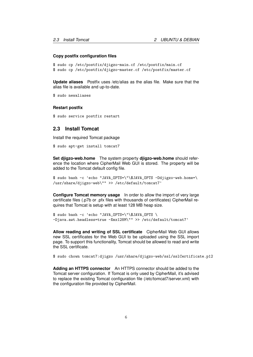#### **Copy postfix configuration files**

```
$ sudo cp /etc/postfix/djigzo-main.cf /etc/postfix/main.cf
$ sudo cp /etc/postfix/djigzo-master.cf /etc/postfix/master.cf
```
**Update aliases** Postfix uses /etc/alias as the alias file. Make sure that the alias file is available and up-to-date.

```
$ sudo newaliases
```
#### **Restart postfix**

\$ sudo service postfix restart

### <span id="page-6-0"></span>**2.3 Install Tomcat**

Install the required Tomcat package

```
$ sudo apt-get install tomcat7
```
**Set djigzo-web.home** The system property **djigzo-web.home** should reference the location where CipherMail Web GUI is stored. The property will be added to the Tomcat default config file.

\$ sudo bash -c 'echo "JAVA\_OPTS=\"\\$JAVA\_OPTS -Ddjigzo-web.home=\ /usr/share/djigzo-web\"" >> /etc/default/tomcat7'

**Configure Tomcat memory usage** In order to allow the import of very large certificate files (.p7b or .pfx files with thousands of certificates) CipherMail requires that Tomcat is setup with at least 128 MB heap size.

```
$ sudo bash -c 'echo "JAVA_OPTS=\"\$JAVA_OPTS \
-Djava.awt.headless=true -Xmx128M\"" >> /etc/default/tomcat7'
```
**Allow reading and writing of SSL certificate** CipherMail Web GUI allows new SSL certificates for the Web GUI to be uploaded using the SSL import page. To support this functionality, Tomcat should be allowed to read and write the SSL certificate.

\$ sudo chown tomcat7:djigzo /usr/share/djigzo-web/ssl/sslCertificate.p12

**Adding an HTTPS connector** An HTTPS connector should be added to the Tomcat server configuration. If Tomcat is only used by CipherMail, it's advised to replace the existing Tomcat configuration file (/etc/tomcat7/server.xml) with the configuration file provided by CipherMail.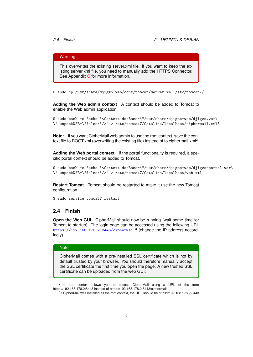#### Warning

This overwrites the existing server.xml file. If you want to keep the existing server.xml file, you need to manually add the HTTPS Connector. See Appendix [C](#page-40-0) for more information.

\$ sudo cp /usr/share/djigzo-web/conf/tomcat/server.xml /etc/tomcat7/

**Adding the Web admin context** A context should be added to Tomcat to enable the Web admin application.

\$ sudo bash -c 'echo "<Context docBase=\"/usr/share/djigzo-web/djigzo.war\ \" unpackWAR=\"false\"/>" > /etc/tomcat7/Catalina/localhost/ciphermail.xml'

**Note:** if you want CipherMail web admin to use the root context, save the context file to ROOT.xml (overwriting the existing file) instead of to ciphermail.xml<sup>2</sup>.

**Adding the Web portal context** If the portal functionality is required, a specific portal context should be added to Tomcat.

```
$ sudo bash -c 'echo "<Context docBase=\"/usr/share/djigzo-web/djigzo-portal.war\
\" unpackWAR=\"false\"/>" > /etc/tomcat7/Catalina/localhost/web.xml'
```
**Restart Tomcat** Tomcat should be restarted to make it use the new Tomcat configuration.

\$ sudo service tomcat7 restart

### <span id="page-7-0"></span>**2.4 Finish**

**Open the Web GUI** CipherMail should now be running (wait some time for Tomcat to startup). The login page can be accessed using the following URL  $\texttt{https://192.168.178.2:8443/ciphermail^3}$  $\texttt{https://192.168.178.2:8443/ciphermail^3}$  $\texttt{https://192.168.178.2:8443/ciphermail^3}$  (change the IP address accordingly)

#### **Note**

CipherMail comes with a pre-installed SSL certificate which is not by default trusted by your browser. You should therefore manually accept the SSL certificate the first time you open the page. A new trusted SSL certificate can be uploaded from the web GUI.

<sup>2</sup>the root context allows you to access CipherMail using a URL of the form https://192.168.178.2:8443 instead of https://192.168.178.2:8443/ciphermail

<sup>&</sup>lt;sup>3</sup>if CipherMail was installed as the root context, the URL should be https://192.168.178.2:8443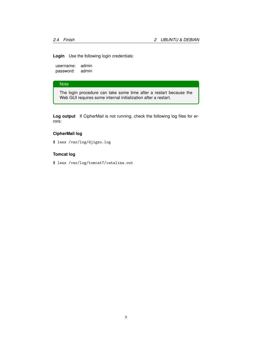**Login** Use the following login credentials:

username: admin password: admin

### **Note**

The login procedure can take some time after a restart because the Web GUI requires some internal initialization after a restart.

**Log output** If CipherMail is not running, check the following log files for errors:

### **CipherMail log**

\$ less /var/log/djigzo.log

### **Tomcat log**

\$ less /var/log/tomcat7/catalina.out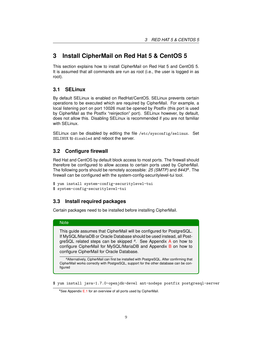# <span id="page-9-0"></span>**3 Install CipherMail on Red Hat 5 & CentOS 5**

This section explains how to install CipherMail on Red Hat 5 and CentOS 5. It is assumed that all commands are run as root (i.e., the user is logged in as root).

### <span id="page-9-1"></span>**3.1 SELinux**

By default SELinux is enabled on RedHat/CentOS. SELinux prevents certain operations to be executed which are required by CipherMail. For example, a local listening port on port 10026 must be opened by Postfix (this port is used by CipherMail as the Postfix "reinjection" port). SELinux however, by default, does not allow this. Disabling SELinux is recommended if you are not familiar with SELinux.

SELinux can be disabled by editing the file /etc/sysconfig/selinux. Set SELINUX to disabled and reboot the server.

## <span id="page-9-2"></span>**3.2 Configure firewall**

Red Hat and CentOS by default block access to most ports. The firewall should therefore be configured to allow access to certain ports used by CipherMail. The following ports should be remotely accessible: *25 (SMTP)* and *8443*<sup>4</sup> . The firewall can be configured with the system-config-securitylevel-tui tool.

```
$ yum install system-config-securitylevel-tui
$ system-config-securitylevel-tui
```
### <span id="page-9-3"></span>**3.3 Install required packages**

Certain packages need to be installed before installing CipherMail.

#### **Note**

This guide assumes that CipherMail will be configured for PostgreSQL. If MySQL/MariaDB or Oracle Database should be used instead, all PostgreSQL related steps can be skipped *<sup>a</sup>* . See Appendix [A](#page-34-0) on how to configure CipherMail for MySQL/MariaD[B](#page-37-0) and Appendix B on how to configure CipherMail for Oracle Database.

*<sup>a</sup>*Alternatively, CipherMail can first be installed with PostgreSQL. After confirming that CipherMail works correctly with PostgreSQL, support for the other database can be configured

\$ yum install java-1.7.0-openjdk-devel ant-nodeps postfix postgresql-server

<sup>4</sup>See Appendix [E.1](#page-44-1) for an overview of all ports used by CipherMail.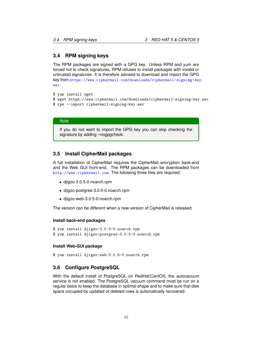### <span id="page-10-0"></span>**3.4 RPM signing keys**

The RPM packages are signed with a GPG key. Unless RPM and yum are forced not to check signatures, RPM refuses to install packages with invalid or untrusted signatures. It is therefore advised to download and import the GPG key from [https://www.ciphermail.com/downloads/ciphermail-signing-key](https://www.ciphermail.com/downloads/ciphermail-signing-key.asc). [asc](https://www.ciphermail.com/downloads/ciphermail-signing-key.asc).

```
$ yum install wget
$ wget https://www.ciphermail.com/downloads/ciphermail-signing-key.asc
$ rpm --import ciphermail-signing-key.asc
```
#### **Note**

If you do not want to import the GPG key you can skip checking the signature by adding –nogpgcheck.

### <span id="page-10-1"></span>**3.5 Install CipherMail packages**

A full installation of CipherMail requires the CipherMail encryption back-end and the Web GUI front-end. The RPM packages can be downloaded from <http://www.ciphermail.com>. The following three files are required:

- djigzo-3.0.5-0.noarch.rpm
- djigzo-postgres-3.0.5-0.noarch.rpm
- djigzo-web-3.0.5-0.noarch.rpm

The version can be different when a new version of CipherMail is released.

#### **Install back-end packages**

```
$ yum install djigzo-3.0.5-0.noarch.rpm
$ yum install djigzo-postgres-3.0.5-0.noarch.rpm
```
#### **Install Web-GUI package**

```
$ yum install djigzo-web-3.0.5-0.noarch.rpm
```
### <span id="page-10-2"></span>**3.6 Configure PostgreSQL**

With the default install of PostgreSQL on RedHat/CentOS, the *autovacuum* service is not enabled. The PostgreSQL vacuum command must be run on a regular basis to keep the database in optimal shape and to make sure that disk space occupied by updated or deleted rows is automatically recovered.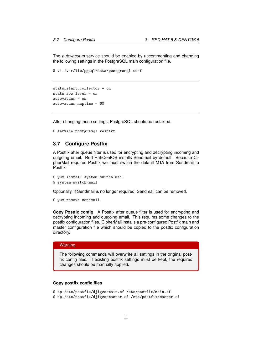The *autovacuum* service should be enabled by uncommenting and changing the following settings in the PostgreSQL main configuration file.

\$ vi /var/lib/pgsql/data/postgresql.conf

```
stats_start_collector = on
stats_row_level = on
autovacuum = on
autovacuum_naptime = 60
```
After changing these settings, PostgreSQL should be restarted.

\$ service postgresql restart

### <span id="page-11-0"></span>**3.7 Configure Postfix**

A Postfix after queue filter is used for encrypting and decrypting incoming and outgoing email. Red Hat/CentOS installs Sendmail by default. Because CipherMail requires Postfix we must switch the default MTA from Sendmail to Postfix.

```
$ yum install system-switch-mail
$ system-switch-mail
```
Optionally, if Sendmail is no longer required, Sendmail can be removed.

```
$ yum remove sendmail
```
**Copy Postfix config** A Postfix after queue filter is used for encrypting and decrypting incoming and outgoing email. This requires some changes to the postfix configuration files. CipherMail installs a pre-configured Postfix main and master configuration file which should be copied to the postfix configuration directory.

#### **Warning**

The following commands will overwrite all settings in the original postfix config files. If existing postfix settings must be kept, the required changes should be manually applied.

### **Copy postfix config files**

- \$ cp /etc/postfix/djigzo-main.cf /etc/postfix/main.cf
- \$ cp /etc/postfix/djigzo-master.cf /etc/postfix/master.cf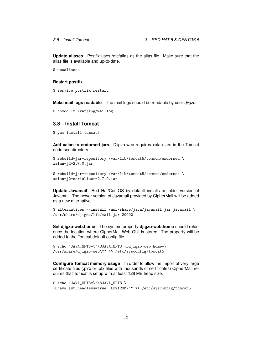**Update aliases** Postfix uses /etc/alias as the alias file. Make sure that the alias file is available and up-to-date.

\$ newaliases

#### **Restart postfix**

```
$ service postfix restart
```
**Make mail logs readable** The mail logs should be readable by user *djigzo*.

```
$ chmod +r /var/log/maillog
```
### <span id="page-12-0"></span>**3.8 Install Tomcat**

\$ yum install tomcat5

**Add xalan to endorsed jars** Djigzo-web requires xalan jars in the Tomcat endorsed directory.

```
$ rebuild-jar-repository /var/lib/tomcat5/common/endorsed \
xalan-j2-2.7.0.jar
```

```
$ rebuild-jar-repository /var/lib/tomcat5/common/endorsed \
xalan-j2-serializer-2.7.0.jar
```
**Update Javamail** Red Hat/CentOS by default installs an older version of Javamail. The newer version of Javamail provided by CipherMail will be added as a new alternative.

```
$ alternatives --install /usr/share/java/javamail.jar javamail \
/usr/share/djigzo/lib/mail.jar 20000
```
**Set djigzo-web.home** The system property **djigzo-web.home** should reference the location where CipherMail Web GUI is stored. The property will be added to the Tomcat default config file.

```
$ echo "JAVA_OPTS=\"\$JAVA_OPTS -Ddjigzo-web.home=\
/usr/share/djigzo-web\"" >> /etc/sysconfig/tomcat5
```
**Configure Tomcat memory usage** In order to allow the import of very large certificate files (.p7b or .pfx files with thousands of certificates) CipherMail requires that Tomcat is setup with at least 128 MB heap size.

```
$ echo "JAVA_OPTS=\"\$JAVA_OPTS \
-Djava.awt.headless=true -Xmx128M\"" >> /etc/sysconfig/tomcat5
```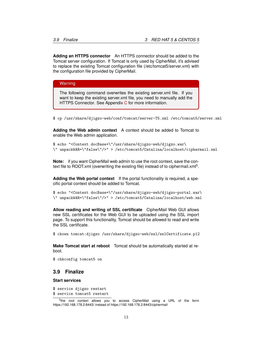**Adding an HTTPS connector** An HTTPS connector should be added to the Tomcat server configuration. If Tomcat is only used by CipherMail, it's advised to replace the existing Tomcat configuration file (/etc/tomcat5/server.xml) with the configuration file provided by CipherMail.

**Warning** 

The following command overwrites the existing server.xml file. If you want to keep the existing server.xml file, you need to manually add the HTTPS [C](#page-40-0)onnector. See Appendix C for more information.

\$ cp /usr/share/djigzo-web/conf/tomcat/server-T5.xml /etc/tomcat5/server.xml

**Adding the Web admin context** A context should be added to Tomcat to enable the Web admin application.

```
$ echo "<Context docBase=\"/usr/share/djigzo-web/djigzo.war\
\" unpackWAR=\"false\"/>" > /etc/tomcat5/Catalina/localhost/ciphermail.xml
```
**Note:** if you want CipherMail web admin to use the root context, save the context file to ROOT.xml (overwriting the existing file) instead of to ciphermail.xml<sup>5</sup>.

**Adding the Web portal context** If the portal functionality is required, a specific portal context should be added to Tomcat.

\$ echo "<Context docBase=\"/usr/share/djigzo-web/djigzo-portal.war\ \" unpackWAR=\"false\"/>" > /etc/tomcat5/Catalina/localhost/web.xml

**Allow reading and writing of SSL certificate** CipherMail Web GUI allows new SSL certificates for the Web GUI to be uploaded using the SSL import page. To support this functionality, Tomcat should be allowed to read and write the SSL certificate.

\$ chown tomcat:djigzo /usr/share/djigzo-web/ssl/sslCertificate.p12

**Make Tomcat start at reboot** Tomcat should be automatically started at reboot.

\$ chkconfig tomcat5 on

### <span id="page-13-0"></span>**3.9 Finalize**

#### **Start services**

- \$ service djigzo restart
- \$ service tomcat5 restart

<sup>&</sup>lt;sup>5</sup>the root context allows you to access CipherMail using a URL of the form https://192.168.178.2:8443/ instead of https://192.168.178.2:8443/ciphermail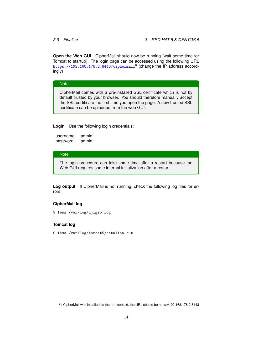**Open the Web GUI** CipherMail should now be running (wait some time for Tomcat to startup). The login page can be accessed using the following URL  $\texttt{https://192.168.178.2:8443/ciphermail}^6$  $\texttt{https://192.168.178.2:8443/ciphermail}^6$  $\texttt{https://192.168.178.2:8443/ciphermail}^6$  (change the IP address accordingly)

#### **Note**

CipherMail comes with a pre-installed SSL certificate which is not by default trusted by your browser. You should therefore manually accept the SSL certificate the first time you open the page. A new trusted SSL certificate can be uploaded from the web GUI.

**Login** Use the following login credentials:

```
username: admin
password: admin
```
#### **Note**

The login procedure can take some time after a restart because the Web GUI requires some internal initialization after a restart.

**Log output** If CipherMail is not running, check the following log files for errors:

#### **CipherMail log**

\$ less /var/log/djigzo.log

#### **Tomcat log**

\$ less /var/log/tomcat5/catalina.out

<sup>&</sup>lt;sup>6</sup>if CipherMail was installed as the root context, the URL should be https://192.168.178.2:8443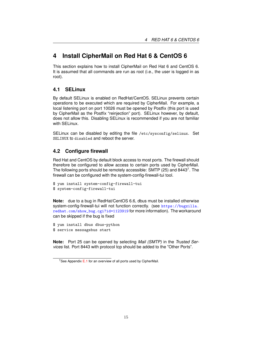# <span id="page-15-0"></span>**4 Install CipherMail on Red Hat 6 & CentOS 6**

This section explains how to install CipherMail on Red Hat 6 and CentOS 6. It is assumed that all commands are run as root (i.e., the user is logged in as root).

### <span id="page-15-1"></span>**4.1 SELinux**

By default SELinux is enabled on RedHat/CentOS. SELinux prevents certain operations to be executed which are required by CipherMail. For example, a local listening port on port 10026 must be opened by Postfix (this port is used by CipherMail as the Postfix "reinjection" port). SELinux however, by default, does not allow this. Disabling SELinux is recommended if you are not familiar with SELinux.

SELinux can be disabled by editing the file /etc/sysconfig/selinux. Set SELINUX to disabled and reboot the server.

### <span id="page-15-2"></span>**4.2 Configure firewall**

Red Hat and CentOS by default block access to most ports. The firewall should therefore be configured to allow access to certain ports used by CipherMail. The following ports should be remotely accessible: SMTP (25) and 8443<sup>7</sup>. The firewall can be configured with the system-config-firewall-tui tool.

```
$ yum install system-config-firewall-tui
$ system-config-firewall-tui
```
**Note:** due to a bug in RedHat/CentOS 6.6, dbus must be installed otherwise system-config-firewall-tui will not function correctly. (see [https://bugzilla.](https://bugzilla.redhat.com/show_bug.cgi?id=1123919) [redhat.com/show\\_bug.cgi?id=1123919](https://bugzilla.redhat.com/show_bug.cgi?id=1123919) for more information). The workaround can be skipped if the bug is fixed

```
$ yum install dbus dbus-python
```

```
$ service messagebus start
```
**Note:** Port 25 can be opened by selecting *Mail (SMTP)* in the *Trusted Services* list. Port 8443 with protocol tcp should be added to the "Other Ports".

 $7$ See Appendix [E.1](#page-44-1) for an overview of all ports used by CipherMail.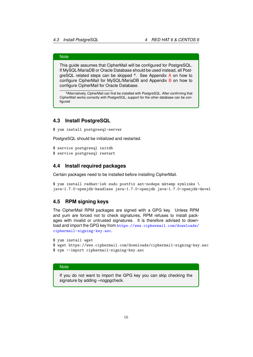### **Note**

This guide assumes that CipherMail will be configured for PostgreSQL. If MySQL/MariaDB or Oracle Database should be used instead, all PostgreSQL related steps can be skipped *<sup>a</sup>* . See Appendix [A](#page-34-0) on how to configure CipherMail for MySQL/MariaD[B](#page-37-0) and Appendix B on how to configure CipherMail for Oracle Database.

*<sup>a</sup>*Alternatively, CipherMail can first be installed with PostgreSQL. After confirming that CipherMail works correctly with PostgreSQL, support for the other database can be configured

### <span id="page-16-0"></span>**4.3 Install PostgreSQL**

\$ yum install postgresql-server

PostgreSQL should be initialized and restarted.

\$ service postgresql initdb \$ service postgresql restart

### <span id="page-16-1"></span>**4.4 Install required packages**

Certain packages need to be installed before installing CipherMail.

\$ yum install redhat-lsb sudo postfix ant-nodeps mktemp symlinks \ java-1.7.0-openjdk-headless java-1.7.0-openjdk java-1.7.0-openjdk-devel

### <span id="page-16-2"></span>**4.5 RPM signing keys**

The CipherMail RPM packages are signed with a GPG key. Unless RPM and yum are forced not to check signatures, RPM refuses to install packages with invalid or untrusted signatures. It is therefore advised to download and import the GPG key from [https://www.ciphermail.com/downloads/](https://www.ciphermail.com/downloads/ciphermail-signing-key.asc) [ciphermail-signing-key.asc](https://www.ciphermail.com/downloads/ciphermail-signing-key.asc).

```
$ yum install wget
```
- \$ wget https://www.ciphermail.com/downloads/ciphermail-signing-key.asc
- \$ rpm --import ciphermail-signing-key.asc

### **Note**

If you do not want to import the GPG key you can skip checking the signature by adding –nogpgcheck.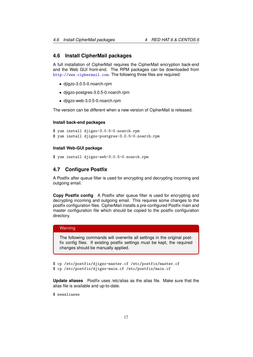### <span id="page-17-0"></span>**4.6 Install CipherMail packages**

A full installation of CipherMail requires the CipherMail encryption back-end and the Web GUI front-end. The RPM packages can be downloaded from <http://www.ciphermail.com>. The following three files are required:

- djigzo-3.0.5-0.noarch.rpm
- djigzo-postgres-3.0.5-0.noarch.rpm
- djigzo-web-3.0.5-0.noarch.rpm

The version can be different when a new version of CipherMail is released.

#### **Install back-end packages**

```
$ yum install djigzo-3.0.5-0.noarch.rpm
$ yum install djigzo-postgres-3.0.5-0.noarch.rpm
```
#### **Install Web-GUI package**

```
$ yum install djigzo-web-3.0.5-0.noarch.rpm
```
### <span id="page-17-1"></span>**4.7 Configure Postfix**

A Postfix after queue filter is used for encrypting and decrypting incoming and outgoing email.

**Copy Postfix config** A Postfix after queue filter is used for encrypting and decrypting incoming and outgoing email. This requires some changes to the postfix configuration files. CipherMail installs a pre-configured Postfix main and master configuration file which should be copied to the postfix configuration directory.

### **Warning**

The following commands will overwrite all settings in the original postfix config files. If existing postfix settings must be kept, the required changes should be manually applied.

\$ cp /etc/postfix/djigzo-master.cf /etc/postfix/master.cf \$ cp /etc/postfix/djigzo-main.cf /etc/postfix/main.cf

**Update aliases** Postfix uses /etc/alias as the alias file. Make sure that the alias file is available and up-to-date.

\$ newaliases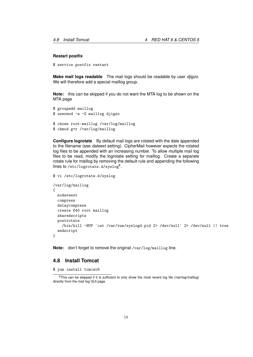#### **Restart postfix**

\$ service postfix restart

**Make mail logs readable** The mail logs should be readable by user *djigzo*. We will therefore add a special maillog group.

**Note:** this can be skipped if you do not want the MTA log to be shown on the MTA page

```
$ groupadd maillog
$ usermod -a -G maillog djigzo
$ chown root:maillog /var/log/maillog
$ chmod g+r /var/log/maillog
```
**Configure logrotate** By default mail logs are rotated with the date appended to the filename (see *dateext* setting). CipherMail however expects the rotated log files to be appended with an increasing number. To allow multiple mail log files to be read, modify the logrotate setting for maillog. Create a separate rotate rule for maillog by removing the default rule and appending the following lines to /<code>etc/logrotate.d/syslog $^{\rm 8}.$ </code>

#### \$ vi /etc/logrotate.d/syslog

```
/var/log/maillog
{
 nodateext
 compress
 delaycompress
 create 640 root maillog
 sharedscripts
 postrotate
    /bin/kill -HUP `cat /var/run/syslogd.pid 2> /dev/null` 2> /dev/null || true
  endscript
}
```
**Note:** don't forget to remove the original /var/log/maillog line.

### <span id="page-18-0"></span>**4.8 Install Tomcat**

\$ yum install tomcat6

<sup>&</sup>lt;sup>8</sup>This can be skipped if it is sufficient to only show the most recent log file (/var/log/maillog) directly from the mail log GUI page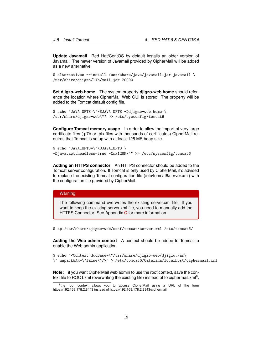**Update Javamail** Red Hat/CentOS by default installs an older version of Javamail. The newer version of Javamail provided by CipherMail will be added as a new alternative.

\$ alternatives --install /usr/share/java/javamail.jar javamail \ /usr/share/djigzo/lib/mail.jar 20000

**Set djigzo-web.home** The system property **djigzo-web.home** should reference the location where CipherMail Web GUI is stored. The property will be added to the Tomcat default config file.

```
$ echo "JAVA_OPTS=\"\$JAVA_OPTS -Ddjigzo-web.home=\
/usr/share/djigzo-web\"" >> /etc/sysconfig/tomcat6
```
**Configure Tomcat memory usage** In order to allow the import of very large certificate files (.p7b or .pfx files with thousands of certificates) CipherMail requires that Tomcat is setup with at least 128 MB heap size.

```
$ echo "JAVA_OPTS=\"\$JAVA_OPTS \
-Djava.awt.headless=true -Xmx128M\"" >> /etc/sysconfig/tomcat6
```
**Adding an HTTPS connector** An HTTPS connector should be added to the Tomcat server configuration. If Tomcat is only used by CipherMail, it's advised to replace the existing Tomcat configuration file (/etc/tomcat6/server.xml) with the configuration file provided by CipherMail.

#### **Warning**

The following command overwrites the existing server.xml file. If you want to keep the existing server.xml file, you need to manually add the HTTPS Connector. See Appendix [C](#page-40-0) for more information.

\$ cp /usr/share/djigzo-web/conf/tomcat/server.xml /etc/tomcat6/

**Adding the Web admin context** A context should be added to Tomcat to enable the Web admin application.

```
$ echo "<Context docBase=\"/usr/share/djigzo-web/djigzo.war\
\" unpackWAR=\"false\"/>" > /etc/tomcat6/Catalina/localhost/ciphermail.xml
```
**Note:** if you want CipherMail web admin to use the root context, save the context file to ROOT.xml (overwriting the existing file) instead of to ciphermail.xml<sup>9</sup>.

<sup>&</sup>lt;sup>9</sup>the root context allows you to access CipherMail using a URL of the form https://192.168.178.2:8443 instead of https://192.168.178.2:8843/ciphermail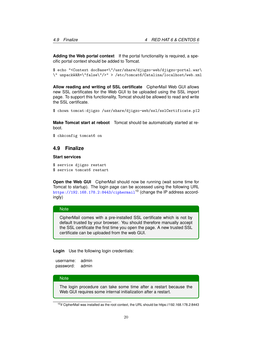**Adding the Web portal context** If the portal functionality is required, a specific portal context should be added to Tomcat.

\$ echo "<Context docBase=\"/usr/share/djigzo-web/djigzo-portal.war\ \" unpackWAR=\"false\"/>" > /etc/tomcat6/Catalina/localhost/web.xml

**Allow reading and writing of SSL certificate** CipherMail Web GUI allows new SSL certificates for the Web GUI to be uploaded using the SSL import page. To support this functionality, Tomcat should be allowed to read and write the SSL certificate.

\$ chown tomcat:djigzo /usr/share/djigzo-web/ssl/sslCertificate.p12

**Make Tomcat start at reboot** Tomcat should be automatically started at reboot.

\$ chkconfig tomcat6 on

### <span id="page-20-0"></span>**4.9 Finalize**

#### **Start services**

- \$ service djigzo restart
- \$ service tomcat6 restart

**Open the Web GUI** CipherMail should now be running (wait some time for Tomcat to startup). The login page can be accessed using the following URL <https://192.168.178.2:8443/ciphermail><sup>10</sup> (change the IP address accordingly)

#### **Note**

CipherMail comes with a pre-installed SSL certificate which is not by default trusted by your browser. You should therefore manually accept the SSL certificate the first time you open the page. A new trusted SSL certificate can be uploaded from the web GUI.

**Login** Use the following login credentials:

username: admin password: admin

#### **Note**

The login procedure can take some time after a restart because the Web GUI requires some internal initialization after a restart.

 $10$  if CipherMail was installed as the root context, the URL should be https://192.168.178.2:8443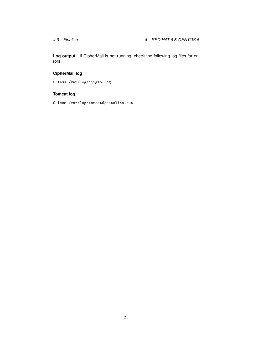**Log output** If CipherMail is not running, check the following log files for errors:

# **CipherMail log**

\$ less /var/log/djigzo.log

### **Tomcat log**

\$ less /var/log/tomcat6/catalina.out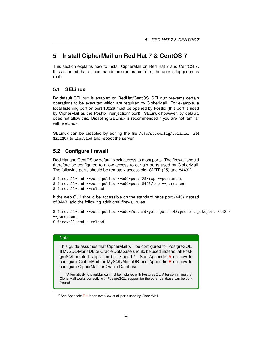# <span id="page-22-0"></span>**5 Install CipherMail on Red Hat 7 & CentOS 7**

This section explains how to install CipherMail on Red Hat 7 and CentOS 7. It is assumed that all commands are run as root (i.e., the user is logged in as root).

### <span id="page-22-1"></span>**5.1 SELinux**

By default SELinux is enabled on RedHat/CentOS. SELinux prevents certain operations to be executed which are required by CipherMail. For example, a local listening port on port 10026 must be opened by Postfix (this port is used by CipherMail as the Postfix "reinjection" port). SELinux however, by default, does not allow this. Disabling SELinux is recommended if you are not familiar with SELinux.

SELinux can be disabled by editing the file /etc/sysconfig/selinux. Set SELINUX to disabled and reboot the server.

### <span id="page-22-2"></span>**5.2 Configure firewall**

Red Hat and CentOS by default block access to most ports. The firewall should therefore be configured to allow access to certain ports used by CipherMail. The following ports should be remotely accessible: SMTP (25) and 8443<sup>11</sup>.

```
$ firewall-cmd --zone=public --add-port=25/tcp --permanent
$ firewall-cmd --zone=public --add-port=8443/tcp --permanent
$ firewall-cmd --reload
```
If the web GUI should be accessible on the standard https port (443) instead of 8443, add the following additional firewall rules

```
$ firewall-cmd --zone=public --add-forward-port=port=443:proto=tcp:toport=8443 \
--permanent
```
### \$ firewall-cmd --reload

#### **Note**

This guide assumes that CipherMail will be configured for PostgreSQL. If MySQL/MariaDB or Oracle Database should be used instead, all PostgreSQL related steps can be skipped *<sup>a</sup>* . See Appendix [A](#page-34-0) on how to configure CipherMail for MySQL/MariaDB and Appendix [B](#page-37-0) on how to configure CipherMail for Oracle Database.

*<sup>a</sup>*Alternatively, CipherMail can first be installed with PostgreSQL. After confirming that CipherMail works correctly with PostgreSQL, support for the other database can be configured

<sup>&</sup>lt;sup>11</sup> See Appendix [E.1](#page-44-1) for an overview of all ports used by CipherMail.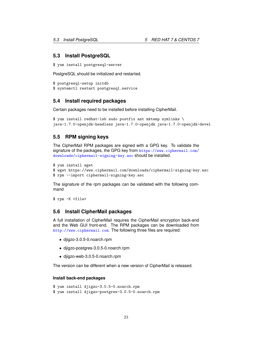### <span id="page-23-0"></span>**5.3 Install PostgreSQL**

```
$ yum install postgresql-server
```
PostgreSQL should be initialized and restarted.

```
$ postgresql-setup initdb
$ systemctl restart postgresql.service
```
### <span id="page-23-1"></span>**5.4 Install required packages**

Certain packages need to be installed before installing CipherMail.

```
$ yum install redhat-lsb sudo postfix ant mktemp symlinks \
java-1.7.0-openjdk-headless java-1.7.0-openjdk java-1.7.0-openjdk-devel
```
### <span id="page-23-2"></span>**5.5 RPM signing keys**

The CipherMail RPM packages are signed with a GPG key. To validate the signature of the packages, the GPG key from [https://www.ciphermail.com/](https://www.ciphermail.com/downloads/ciphermail-signing-key.asc) [downloads/ciphermail-signing-key.asc](https://www.ciphermail.com/downloads/ciphermail-signing-key.asc) should be installed.

```
$ yum install wget
$ wget https://www.ciphermail.com/downloads/ciphermail-signing-key.asc
$ rpm --import ciphermail-signing-key.asc
```
The signature of the rpm packages can be validated with the following command

\$ rpm -K <file>

### <span id="page-23-3"></span>**5.6 Install CipherMail packages**

A full installation of CipherMail requires the CipherMail encryption back-end and the Web GUI front-end. The RPM packages can be downloaded from <http://www.ciphermail.com>. The following three files are required:

- djigzo-3.0.5-0.noarch.rpm
- djigzo-postgres-3.0.5-0.noarch.rpm
- djigzo-web-3.0.5-0.noarch.rpm

The version can be different when a new version of CipherMail is released.

#### **Install back-end packages**

```
$ yum install djigzo-3.0.5-0.noarch.rpm
$ yum install djigzo-postgres-3.0.5-0.noarch.rpm
```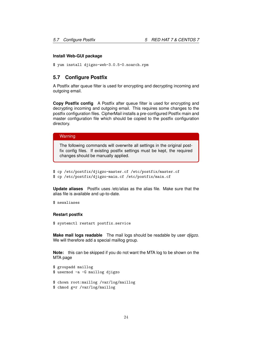#### **Install Web-GUI package**

\$ yum install djigzo-web-3.0.5-0.noarch.rpm

### <span id="page-24-0"></span>**5.7 Configure Postfix**

A Postfix after queue filter is used for encrypting and decrypting incoming and outgoing email.

**Copy Postfix config** A Postfix after queue filter is used for encrypting and decrypting incoming and outgoing email. This requires some changes to the postfix configuration files. CipherMail installs a pre-configured Postfix main and master configuration file which should be copied to the postfix configuration directory.

#### **Warning**

The following commands will overwrite all settings in the original postfix config files. If existing postfix settings must be kept, the required changes should be manually applied.

```
$ cp /etc/postfix/djigzo-master.cf /etc/postfix/master.cf
$ cp /etc/postfix/djigzo-main.cf /etc/postfix/main.cf
```
**Update aliases** Postfix uses /etc/alias as the alias file. Make sure that the alias file is available and up-to-date.

```
$ newaliases
```
#### **Restart postfix**

```
$ systemctl restart postfix.service
```
**Make mail logs readable** The mail logs should be readable by user *djigzo*. We will therefore add a special maillog group.

**Note:** this can be skipped if you do not want the MTA log to be shown on the MTA page

```
$ groupadd maillog
$ usermod -a -G maillog djigzo
$ chown root:maillog /var/log/maillog
```

```
$ chmod g+r /var/log/maillog
```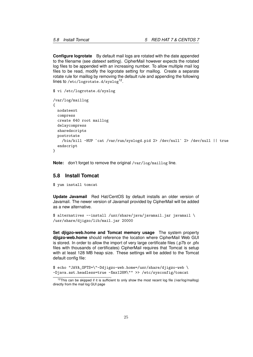**Configure logrotate** By default mail logs are rotated with the date appended to the filename (see *dateext* setting). CipherMail however expects the rotated log files to be appended with an increasing number. To allow multiple mail log files to be read, modify the logrotate setting for maillog. Create a separate rotate rule for maillog by removing the default rule and appending the following lines to /etc/logrotate.d/syslog<sup>12</sup>.

```
$ vi /etc/logrotate.d/syslog
```

```
/var/log/maillog
{
 nodateext
 compress
 create 640 root maillog
 delaycompress
  sharedscripts
 postrotate
    /bin/kill -HUP `cat /var/run/syslogd.pid 2> /dev/null` 2> /dev/null || true
  endscript
}
```
**Note:** don't forget to remove the original /var/log/maillog line.

### <span id="page-25-0"></span>**5.8 Install Tomcat**

\$ yum install tomcat

**Update Javamail** Red Hat/CentOS by default installs an older version of Javamail. The newer version of Javamail provided by CipherMail will be added as a new alternative.

```
$ alternatives --install /usr/share/java/javamail.jar javamail \
/usr/share/djigzo/lib/mail.jar 20000
```
**Set djigzo-web.home and Tomcat memory usage** The system property **djigzo-web.home** should reference the location where CipherMail Web GUI is stored. In order to allow the import of very large certificate files (.p7b or .pfx files with thousands of certificates) CipherMail requires that Tomcat is setup with at least 128 MB heap size. These settings will be added to the Tomcat default config file:

\$ echo "JAVA\_OPTS=\"-Ddjigzo-web.home=/usr/share/djigzo-web \ -Djava.awt.headless=true -Xmx128M\"" >> /etc/sysconfig/tomcat

 $12$ This can be skipped if it is sufficient to only show the most recent log file (/var/log/maillog) directly from the mail log GUI page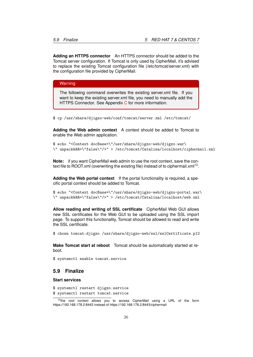**Adding an HTTPS connector** An HTTPS connector should be added to the Tomcat server configuration. If Tomcat is only used by CipherMail, it's advised to replace the existing Tomcat configuration file (/etc/tomcat/server.xml) with the configuration file provided by CipherMail.

Warning

The following command overwrites the existing server.xml file. If you want to keep the existing server.xml file, you need to manually add the HTTPS [C](#page-40-0)onnector. See Appendix C for more information.

\$ cp /usr/share/djigzo-web/conf/tomcat/server.xml /etc/tomcat/

**Adding the Web admin context** A context should be added to Tomcat to enable the Web admin application.

\$ echo "<Context docBase=\"/usr/share/djigzo-web/djigzo.war\ \" unpackWAR=\"false\"/>" > /etc/tomcat/Catalina/localhost/ciphermail.xml

**Note:** if you want CipherMail web admin to use the root context, save the context file to ROOT.xml (overwriting the existing file) instead of to ciphermail.xml<sup>13</sup>.

**Adding the Web portal context** If the portal functionality is required, a specific portal context should be added to Tomcat.

\$ echo "<Context docBase=\"/usr/share/djigzo-web/djigzo-portal.war\ \" unpackWAR=\"false\"/>" > /etc/tomcat/Catalina/localhost/web.xml

**Allow reading and writing of SSL certificate** CipherMail Web GUI allows new SSL certificates for the Web GUI to be uploaded using the SSL import page. To support this functionality, Tomcat should be allowed to read and write the SSL certificate.

\$ chown tomcat:djigzo /usr/share/djigzo-web/ssl/sslCertificate.p12

**Make Tomcat start at reboot** Tomcat should be automatically started at reboot.

\$ systemctl enable tomcat.service

### <span id="page-26-0"></span>**5.9 Finalize**

**Start services**

```
$ systemctl restart djigzo.service
```

```
$ systemctl restart tomcat.service
```
<sup>&</sup>lt;sup>13</sup>the root context allows you to access CipherMail using a URL of the form https://192.168.178.2:8443 instead of https://192.168.178.2:8443/ciphermail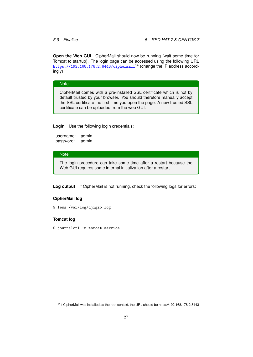**Open the Web GUI** CipherMail should now be running (wait some time for Tomcat to startup). The login page can be accessed using the following URL <https://192.168.178.2:8443/ciphermail><sup>14</sup> (change the IP address accordingly)

#### **Note**

CipherMail comes with a pre-installed SSL certificate which is not by default trusted by your browser. You should therefore manually accept the SSL certificate the first time you open the page. A new trusted SSL certificate can be uploaded from the web GUI.

**Login** Use the following login credentials:

```
username: admin
password: admin
```
#### **Note**

The login procedure can take some time after a restart because the Web GUI requires some internal initialization after a restart.

**Log output** If CipherMail is not running, check the following logs for errors:

#### **CipherMail log**

\$ less /var/log/djigzo.log

#### **Tomcat log**

\$ journalctl -u tomcat.service

<sup>14</sup>if CipherMail was installed as the root context, the URL should be https://192.168.178.2:8443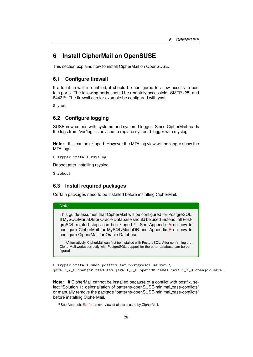# <span id="page-28-0"></span>**6 Install CipherMail on OpenSUSE**

This section explains how to install CipherMail on OpenSUSE.

### <span id="page-28-1"></span>**6.1 Configure firewall**

If a local firewall is enabled, it should be configured to allow access to certain ports. The following ports should be remotely accessible: SMTP (25) and 8443<sup>15</sup>. The firewall can for example be configured with yast.

\$ yast

### <span id="page-28-2"></span>**6.2 Configure logging**

SUSE now comes with systemd and systemd-logger. Since CipherMail reads the logs from /var/log it's advised to replace systemd-logger with rsyslog

**Note:** this can be skipped. However the MTA log view will no longer show the MTA logs

\$ zypper install rsyslog

Reboot after installing rsyslog

\$ reboot

**Note** 

### <span id="page-28-3"></span>**6.3 Install required packages**

Certain packages need to be installed before installing CipherMail.

# This guide assumes that CipherMail will be configured for PostgreSQL. If MySQL/MariaDB or Oracle Database should be used instead, all PostgreSQL related steps can be skipped *<sup>a</sup>* . See Appendix [A](#page-34-0) on how to configure CipherMail for MySQL/MariaD[B](#page-37-0) and Appendix B on how to configure CipherMail for Oracle Database.

*<sup>a</sup>*Alternatively, CipherMail can first be installed with PostgreSQL. After confirming that CipherMail works correctly with PostgreSQL, support for the other database can be configured

\$ zypper install sudo postfix ant postgresql-server \ java-1\_7\_0-openjdk-headless java-1\_7\_0-openjdk-devel java-1\_7\_0-openjdk-devel

**Note:** if CipherMail cannot be installed because of a conflict with postfix, select "Solution 1: deinstallation of patterns-openSUSE-minimal\_base-conflicts" or manually remove the package "patterns-openSUSE-minimal base-conflicts" before installing CipherMail.

 $15$ See Appendix [E.1](#page-44-1) for an overview of all ports used by CipherMail.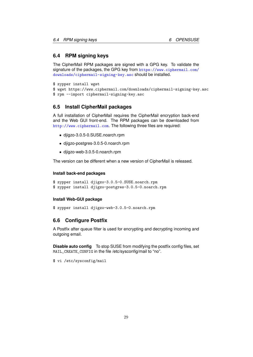### <span id="page-29-0"></span>**6.4 RPM signing keys**

The CipherMail RPM packages are signed with a GPG key. To validate the signature of the packages, the GPG key from [https://www.ciphermail.com/](https://www.ciphermail.com/downloads/ciphermail-signing-key.asc) [downloads/ciphermail-signing-key.asc](https://www.ciphermail.com/downloads/ciphermail-signing-key.asc) should be installed.

```
$ zypper install wget
```

```
$ wget https://www.ciphermail.com/downloads/ciphermail-signing-key.asc
```

```
$ rpm --import ciphermail-signing-key.asc
```
### <span id="page-29-1"></span>**6.5 Install CipherMail packages**

A full installation of CipherMail requires the CipherMail encryption back-end and the Web GUI front-end. The RPM packages can be downloaded from <http://www.ciphermail.com>. The following three files are required:

- djigzo-3.0.5-0.SUSE.noarch.rpm
- djigzo-postgres-3.0.5-0.noarch.rpm
- djigzo-web-3.0.5-0.noarch.rpm

The version can be different when a new version of CipherMail is released.

#### **Install back-end packages**

```
$ zypper install djigzo-3.0.5-0.SUSE.noarch.rpm
$ zypper install djigzo-postgres-3.0.5-0.noarch.rpm
```
#### **Install Web-GUI package**

\$ zypper install djigzo-web-3.0.5-0.noarch.rpm

### <span id="page-29-2"></span>**6.6 Configure Postfix**

A Postfix after queue filter is used for encrypting and decrypting incoming and outgoing email.

**Disable auto config** To stop SUSE from modifying the postfix config files, set MAIL\_CREATE\_CONFIG in the file /etc/sysconfig/mail to "no".

\$ vi /etc/sysconfig/mail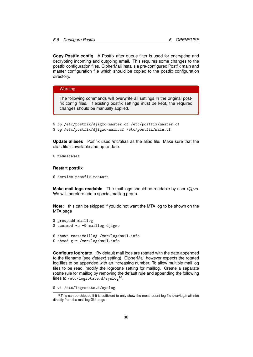**Copy Postfix config** A Postfix after queue filter is used for encrypting and decrypting incoming and outgoing email. This requires some changes to the postfix configuration files. CipherMail installs a pre-configured Postfix main and master configuration file which should be copied to the postfix configuration directory.

#### **Warning**

The following commands will overwrite all settings in the original postfix config files. If existing postfix settings must be kept, the required changes should be manually applied.

```
$ cp /etc/postfix/djigzo-master.cf /etc/postfix/master.cf
$ cp /etc/postfix/djigzo-main.cf /etc/postfix/main.cf
```
**Update aliases** Postfix uses /etc/alias as the alias file. Make sure that the alias file is available and up-to-date.

\$ newaliases

#### **Restart postfix**

\$ service postfix restart

**Make mail logs readable** The mail logs should be readable by user *djigzo*. We will therefore add a special maillog group.

**Note:** this can be skipped if you do not want the MTA log to be shown on the MTA page

```
$ groupadd maillog
$ usermod -a -G maillog djigzo
$ chown root:maillog /var/log/mail.info
$ chmod g+r /var/log/mail.info
```
**Configure logrotate** By default mail logs are rotated with the date appended to the filename (see *dateext* setting). CipherMail however expects the rotated log files to be appended with an increasing number. To allow multiple mail log files to be read, modify the logrotate setting for maillog. Create a separate rotate rule for maillog by removing the default rule and appending the following lines to /etc/logrotate.d/syslog<sup>16</sup>.

<sup>\$</sup> vi /etc/logrotate.d/syslog

<sup>&</sup>lt;sup>16</sup>This can be skipped if it is sufficient to only show the most recent log file (/var/log/mail.info) directly from the mail log GUI page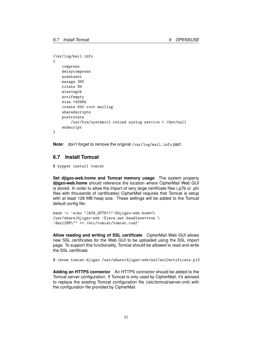```
/var/log/mail.info
{
    compress
    delaycompress
   nodateext
   maxage 365
    rotate 99
   missingok
   notifempty
    size +4096k
    create 640 root maillog
    sharedscripts
    postrotate
        /usr/bin/systemctl reload syslog.service > /dev/null
    endscript
}
```
**Note:** don't forget to remove the original /var/log/mail.info part.

### <span id="page-31-0"></span>**6.7 Install Tomcat**

\$ zypper install tomcat

<span id="page-31-1"></span>**Set djigzo-web.home and Tomcat memory usage** The system property **djigzo-web.home** should reference the location where CipherMail Web GUI is stored. In order to allow the import of very large certificate files (.p7b or .pfx files with thousands of certificates) CipherMail requires that Tomcat is setup with at least 128 MB heap size. These settings will be added to the Tomcat default config file:

```
bash -c 'echo "JAVA_OPTS=\"-Ddjigzo-web.home=\
/usr/share/djigzo-web -Djava.awt.headless=true \
-Xmx128M\"" >> /etc/tomcat/tomcat.conf'
```
**Allow reading and writing of SSL certificate** CipherMail Web GUI allows new SSL certificates for the Web GUI to be uploaded using the SSL import page. To support this functionality, Tomcat should be allowed to read and write the SSL certificate.

\$ chown tomcat:djigzo /usr/share/djigzo-web/ssl/sslCertificate.p12

**Adding an HTTPS connector** An HTTPS connector should be added to the Tomcat server configuration. If Tomcat is only used by CipherMail, it's advised to replace the existing Tomcat configuration file (/etc/tomcat/server.xml) with the configuration file provided by CipherMail.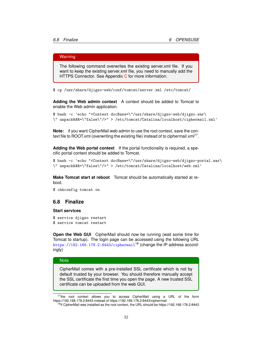#### Warning

The following command overwrites the existing server.xml file. If you want to keep the existing server.xml file, you need to manually add the HTTPS [C](#page-40-0)onnector. See Appendix C for more information.

\$ cp /usr/share/djigzo-web/conf/tomcat/server.xml /etc/tomcat/

**Adding the Web admin context** A context should be added to Tomcat to enable the Web admin application.

\$ bash -c 'echo "<Context docBase=\"/usr/share/djigzo-web/djigzo.war\ \" unpackWAR=\"false\"/>" > /etc/tomcat/Catalina/localhost/ciphermail.xml'

**Note:** if you want CipherMail web admin to use the root context, save the context file to ROOT.xml (overwriting the existing file) instead of to ciphermail.xml $^{17}$ .

**Adding the Web portal context** If the portal functionality is required, a specific portal context should be added to Tomcat.

```
$ bash -c 'echo "<Context docBase=\"/usr/share/djigzo-web/djigzo-portal.war\
\" unpackWAR=\"false\"/>" > /etc/tomcat/Catalina/localhost/web.xml'
```
**Make Tomcat start at reboot** Tomcat should be automatically started at reboot.

\$ chkconfig tomcat on

#### <span id="page-32-0"></span>**6.8 Finalize**

#### **Start services**

\$ service djigzo restart \$ service tomcat restart

**Open the Web GUI** CipherMail should now be running (wait some time for Tomcat to startup). The login page can be accessed using the following URL <https://192.168.178.2:8443/ciphermail><sup>18</sup> (change the IP address accordingly)

#### **Note**

CipherMail comes with a pre-installed SSL certificate which is not by default trusted by your browser. You should therefore manually accept the SSL certificate the first time you open the page. A new trusted SSL certificate can be uploaded from the web GUI.

<sup>&</sup>lt;sup>17</sup>the root context allows you to access CipherMail using a URL of the form https://192.168.178.2:8443 instead of https://192.168.178.2:8443/ciphermail

<sup>&</sup>lt;sup>18</sup>if CipherMail was installed as the root context, the URL should be https://192.168.178.2:8443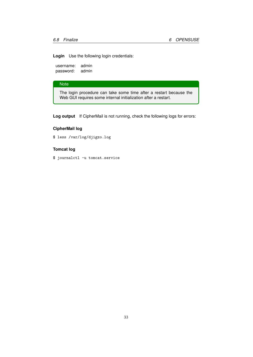**Login** Use the following login credentials:

username: admin password: admin

### **Note**

The login procedure can take some time after a restart because the Web GUI requires some internal initialization after a restart.

**Log output** If CipherMail is not running, check the following logs for errors:

### **CipherMail log**

\$ less /var/log/djigzo.log

### **Tomcat log**

\$ journalctl -u tomcat.service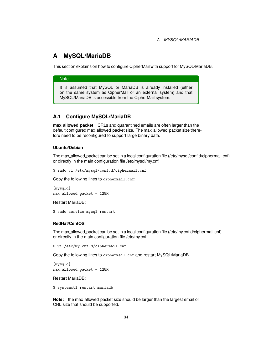# <span id="page-34-0"></span>**A MySQL/MariaDB**

This section explains on how to configure CipherMail with support for MySQL/MariaDB.

#### **Note**

It is assumed that MySQL or MariaDB is already installed (either on the same system as CipherMail or an external system) and that MySQL/MariaDB is accessible from the CipherMail system.

### <span id="page-34-1"></span>**A.1 Configure MySQL/MariaDB**

**max allowed packet** CRLs and quarantined emails are often larger than the default configured max\_allowed\_packet size. The max\_allowed\_packet size therefore need to be reconfigured to support large binary data.

#### **Ubuntu/Debian**

The max allowed packet can be set in a local configuration file (/etc/mysql/conf.d/ciphermail.cnf) or directly in the main configuration file /etc/mysql/my.cnf.

\$ sudo vi /etc/mysql/conf.d/ciphermail.cnf

Copy the following lines to ciphermail.cnf:

[mysqld] max\_allowed\_packet = 128M

Restart MariaDB:

\$ sudo service mysql restart

#### **RedHat/CentOS**

The max allowed packet can be set in a local configuration file (/etc/my.cnf.d/ciphermail.cnf) or directly in the main configuration file /etc/my.cnf.

\$ vi /etc/my.cnf.d/ciphermail.cnf

Copy the following lines to ciphermail.cnf and restart MySQL/MariaDB.

[mvsqld] max\_allowed\_packet = 128M

Restart MariaDB:

\$ systemctl restart mariadb

**Note:** the max\_allowed\_packet size should be larger than the largest email or CRL size that should be supported.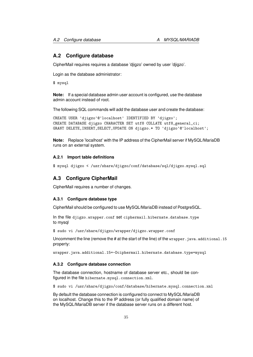### <span id="page-35-0"></span>**A.2 Configure database**

CipherMail requires requires a database 'djigzo' owned by user 'djigzo'.

Login as the database administrator:

\$ mysql

**Note:** If a special database admin user account is configured, use the database admin account instead of root.

The following SQL commands will add the database user and create the database:

```
CREATE USER 'djigzo'@'localhost' IDENTIFIED BY 'djigzo';
CREATE DATABASE djigzo CHARACTER SET utf8 COLLATE utf8_general_ci;
GRANT DELETE,INSERT,SELECT,UPDATE ON djigzo.* TO 'djigzo'@'localhost';
```
**Note:** Replace 'localhost' with the IP address of the CipherMail server if MySQL/MariaDB runs on an external system.

#### <span id="page-35-1"></span>**A.2.1 Import table definitions**

```
$ mysql djigzo < /usr/share/djigzo/conf/database/sql/djigzo.mysql.sql
```
### <span id="page-35-2"></span>**A.3 Configure CipherMail**

CipherMail requires a number of changes.

#### <span id="page-35-3"></span>**A.3.1 Configure database type**

CipherMail should be configured to use MySQL/MariaDB instead of PostgreSQL.

In the file djigzo.wrapper.conf set ciphermail.hibernate.database.type to mysql

\$ sudo vi /usr/share/djigzo/wrapper/djigzo.wrapper.conf

Uncomment the line (remove the # at the start of the line) of the  $w$ rapper. java.additional.15 property:

wrapper.java.additional.15=-Dciphermail.hibernate.database.type=mysql

#### <span id="page-35-4"></span>**A.3.2 Configure database connection**

The database connection, hostname of database server etc., should be configured in the file hibernate.mysql.connection.xml.

\$ sudo vi /usr/share/djigzo/conf/database/hibernate.mysql.connection.xml

By default the database connection is configured to connect to MySQL/MariaDB on localhost. Change this to the IP address (or fully qualified domain name) of the MySQL/MariaDB server if the database server runs on a different host.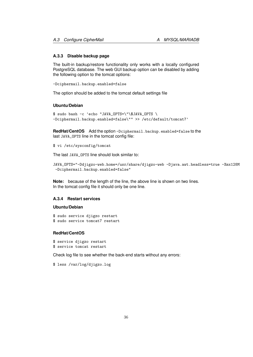#### <span id="page-36-0"></span>**A.3.3 Disable backup page**

The built-in backup/restore functionality only works with a locally configured PostgreSQL database. The web GUI backup option can be disabled by adding the following option to the tomcat options:

-Dciphermail.backup.enabled=false

The option should be added to the tomcat default settings file

#### **Ubuntu/Debian**

```
$ sudo bash -c 'echo "JAVA_OPTS=\"\$JAVA_OPTS \
-Dciphermail.backup.enabled=false\"" >> /etc/default/tomcat7'
```
**RedHat/CentOS** Add the option -Dciphermail.backup.enabled=false to the last JAVA\_OPTS line in the tomcat config file:

\$ vi /etc/sysconfig/tomcat

The last JAVA\_OPTS line should look similar to:

```
JAVA_OPTS="-Ddjigzo-web.home=/usr/share/djigzo-web -Djava.awt.headless=true -Xmx128M
-Dciphermail.backup.enabled=false"
```
**Note:** because of the length of the line, the above line is shown on two lines. In the tomcat config file it should only be one line.

#### <span id="page-36-1"></span>**A.3.4 Restart services**

#### **Ubuntu/Debian**

\$ sudo service djigzo restart \$ sudo service tomcat7 restart

#### **RedHat/CentOS**

```
$ service djigzo restart
$ service tomcat restart
```
Check log file to see whether the back-end starts without any errors:

\$ less /var/log/djigzo.log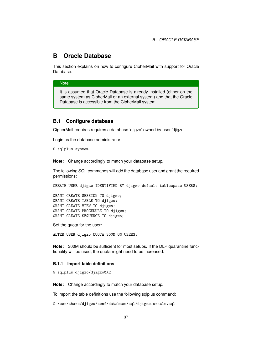# <span id="page-37-0"></span>**B Oracle Database**

This section explains on how to configure CipherMail with support for Oracle Database.

### **Note**

It is assumed that Oracle Database is already installed (either on the same system as CipherMail or an external system) and that the Oracle Database is accessible from the CipherMail system.

### <span id="page-37-1"></span>**B.1 Configure database**

CipherMail requires requires a database 'djigzo' owned by user 'djigzo'.

Login as the database administrator:

\$ sqlplus system

**Note:** Change accordingly to match your database setup.

The following SQL commands will add the database user and grant the required permissions:

CREATE USER djigzo IDENTIFIED BY djigzo default tablespace USERS;

GRANT CREATE SESSION TO djigzo; GRANT CREATE TABLE TO djigzo; GRANT CREATE VIEW TO djigzo; GRANT CREATE PROCEDURE TO djigzo; GRANT CREATE SEQUENCE TO djigzo;

Set the quota for the user:

ALTER USER djigzo QUOTA 300M ON USERS;

**Note:** 300M should be sufficient for most setups. If the DLP quarantine functionality will be used, the quota might need to be increased.

#### <span id="page-37-2"></span>**B.1.1 Import table definitions**

\$ sqlplus djigzo/djigzo@XE

**Note:** Change accordingly to match your database setup.

To import the table definitions use the following sqlplus command:

@ /usr/share/djigzo/conf/database/sql/djigzo.oracle.sql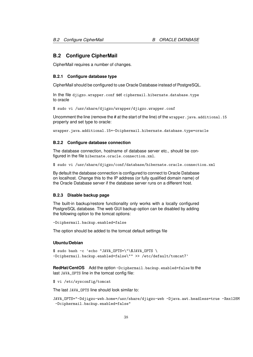### <span id="page-38-0"></span>**B.2 Configure CipherMail**

CipherMail requires a number of changes.

#### <span id="page-38-1"></span>**B.2.1 Configure database type**

CipherMail should be configured to use Oracle Database instead of PostgreSQL.

In the file djigzo.wrapper.conf set ciphermail.hibernate.database.type to oracle

\$ sudo vi /usr/share/djigzo/wrapper/djigzo.wrapper.conf

Uncomment the line (remove the # at the start of the line) of the  $\mu$  apper. java.additional.15 property and set type to oracle:

wrapper.java.additional.15=-Dciphermail.hibernate.database.type=oracle

#### <span id="page-38-2"></span>**B.2.2 Configure database connection**

The database connection, hostname of database server etc., should be configured in the file hibernate.oracle.connection.xml.

\$ sudo vi /usr/share/djigzo/conf/database/hibernate.oracle.connection.xml

By default the database connection is configured to connect to Oracle Database on localhost. Change this to the IP address (or fully qualified domain name) of the Oracle Database server if the database server runs on a different host.

#### <span id="page-38-3"></span>**B.2.3 Disable backup page**

The built-in backup/restore functionality only works with a locally configured PostgreSQL database. The web GUI backup option can be disabled by adding the following option to the tomcat options:

```
-Dciphermail.backup.enabled=false
```
The option should be added to the tomcat default settings file

#### **Ubuntu/Debian**

\$ sudo bash -c 'echo "JAVA\_OPTS=\"\\$JAVA\_OPTS \ -Dciphermail.backup.enabled=false\"" >> /etc/default/tomcat7'

**RedHat/CentOS** Add the option -Dciphermail.backup.enabled=false to the last JAVA\_OPTS line in the tomcat config file:

\$ vi /etc/sysconfig/tomcat

The last JAVA\_OPTS line should look similar to:

JAVA\_OPTS="-Ddjigzo-web.home=/usr/share/djigzo-web -Djava.awt.headless=true -Xmx128M -Dciphermail.backup.enabled=false"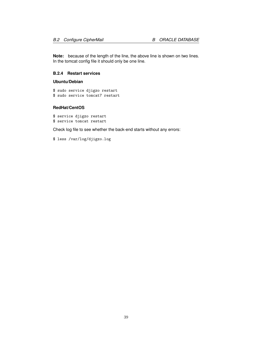**Note:** because of the length of the line, the above line is shown on two lines. In the tomcat config file it should only be one line.

### <span id="page-39-0"></span>**B.2.4 Restart services**

#### **Ubuntu/Debian**

\$ sudo service djigzo restart \$ sudo service tomcat7 restart

#### **RedHat/CentOS**

\$ service djigzo restart \$ service tomcat restart

Check log file to see whether the back-end starts without any errors:

\$ less /var/log/djigzo.log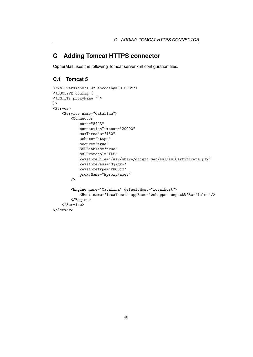# <span id="page-40-0"></span>**C Adding Tomcat HTTPS connector**

CipherMail uses the following Tomcat server.xml configuration files.

# <span id="page-40-1"></span>**C.1 Tomcat 5**

```
<?xml version="1.0" encoding="UTF-8"?>
<!DOCTYPE config [
<!ENTITY proxyName "">
\geq<Server>
    <Service name="Catalina">
        <Connector
            port="8443"
            connectionTimeout="20000"
            maxThreads="150"
            scheme="https"
            secure="true"
            SSLEnabled="true"
            sslProtocol="TLS"
            keystoreFile="/usr/share/djigzo-web/ssl/sslCertificate.p12"
            keystorePass="djigzo"
            keystoreType="PKCS12"
            proxyName="&proxyName;"
        />
        <Engine name="Catalina" defaultHost="localhost">
            <Host name="localhost" appBase="webapps" unpackWARs="false"/>
        </Engine>
    </Service>
</Server>
```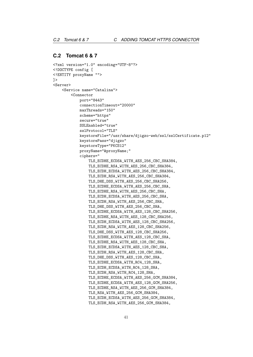### <span id="page-41-0"></span>**C.2 Tomcat 6 & 7**

```
<?xml version="1.0" encoding="UTF-8"?>
<!DOCTYPE config [
<!ENTITY proxyName "">
\geq<Server>
    <Service name="Catalina">
        <Connector
            port="8443"
            connectionTimeout="20000"
            maxThreads="150"
            scheme="https"
            secure="true"
            SSLEnabled="true"
            sslProtocol="TLS"
            keystoreFile="/usr/share/djigzo-web/ssl/sslCertificate.p12"
            keystorePass="djigzo"
            keystoreType="PKCS12"
            proxyName="&proxyName;"
            ciphers="
                TLS_ECDHE_ECDSA_WITH_AES_256_CBC_SHA384,
                TLS_ECDHE_RSA_WITH_AES_256_CBC_SHA384,
                TLS_ECDH_ECDSA_WITH_AES_256_CBC_SHA384,
                TLS_ECDH_RSA_WITH_AES_256_CBC_SHA384,
                TLS_DHE_DSS_WITH_AES_256_CBC_SHA256,
                TLS_ECDHE_ECDSA_WITH_AES_256_CBC_SHA,
                TLS_ECDHE_RSA_WITH_AES_256_CBC_SHA,
                TLS_ECDH_ECDSA_WITH_AES_256_CBC_SHA,
                TLS_ECDH_RSA_WITH_AES_256_CBC_SHA,
                TLS_DHE_DSS_WITH_AES_256_CBC_SHA,
                TLS_ECDHE_ECDSA_WITH_AES_128_CBC_SHA256,
                TLS_ECDHE_RSA_WITH_AES_128_CBC_SHA256,
                TLS_ECDH_ECDSA_WITH_AES_128_CBC_SHA256,
                TLS_ECDH_RSA_WITH_AES_128_CBC_SHA256,
                TLS_DHE_DSS_WITH_AES_128_CBC_SHA256,
                TLS_ECDHE_ECDSA_WITH_AES_128_CBC_SHA,
                TLS_ECDHE_RSA_WITH_AES_128_CBC_SHA,
                TLS_ECDH_ECDSA_WITH_AES_128_CBC_SHA,
                TLS_ECDH_RSA_WITH_AES_128_CBC_SHA,
                TLS_DHE_DSS_WITH_AES_128_CBC_SHA,
                TLS_ECDHE_ECDSA_WITH_RC4_128_SHA,
                TLS_ECDH_ECDSA_WITH_RC4_128_SHA,
                TLS_ECDH_RSA_WITH_RC4_128_SHA,
                TLS_ECDHE_ECDSA_WITH_AES_256_GCM_SHA384,
                TLS_ECDHE_ECDSA_WITH_AES_128_GCM_SHA256,
                TLS_ECDHE_RSA_WITH_AES_256_GCM_SHA384,
                TLS_RSA_WITH_AES_256_GCM_SHA384,
                TLS_ECDH_ECDSA_WITH_AES_256_GCM_SHA384,
                TLS_ECDH_RSA_WITH_AES_256_GCM_SHA384,
```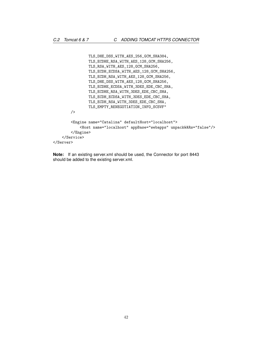```
TLS_DHE_DSS_WITH_AES_256_GCM_SHA384,
                TLS_ECDHE_RSA_WITH_AES_128_GCM_SHA256,
                TLS_RSA_WITH_AES_128_GCM_SHA256,
                TLS_ECDH_ECDSA_WITH_AES_128_GCM_SHA256,
                TLS_ECDH_RSA_WITH_AES_128_GCM_SHA256,
                TLS_DHE_DSS_WITH_AES_128_GCM_SHA256,
                TLS_ECDHE_ECDSA_WITH_3DES_EDE_CBC_SHA,
                TLS_ECDHE_RSA_WITH_3DES_EDE_CBC_SHA,
                TLS_ECDH_ECDSA_WITH_3DES_EDE_CBC_SHA,
                TLS_ECDH_RSA_WITH_3DES_EDE_CBC_SHA,
                TLS_EMPTY_RENEGOTIATION_INFO_SCSVF"
        />
        <Engine name="Catalina" defaultHost="localhost">
           <Host name="localhost" appBase="webapps" unpackWARs="false"/>
        </Engine>
   </Service>
</Server>
```
**Note:** If an existing server.xml should be used, the Connector for port 8443 should be added to the existing server.xml.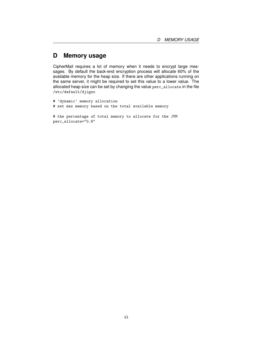# <span id="page-43-0"></span>**D Memory usage**

CipherMail requires a lot of memory when it needs to encrypt large messages. By default the back-end encryption process will allocate 60% of the available memory for the heap size. If there are other applications running on the same server, it might be required to set this value to a lower value. The allocated heap size can be set by changing the value perc\_allocate in the file /etc/default/djigzo

```
# 'dynamic' memory allocation
# set max memory based on the total available memory
# the percentage of total memory to allocate for the JVM
perc_allocate="0.6"
```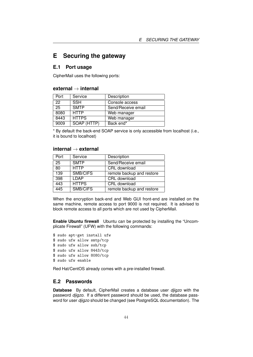# <span id="page-44-0"></span>**E Securing the gateway**

### <span id="page-44-1"></span>**E.1 Port usage**

CipherMail uses the following ports:

### **external** → **internal**

|  | Port | Service      | Description        |
|--|------|--------------|--------------------|
|  | 22   | <b>SSH</b>   | Console access     |
|  | 25   | <b>SMTP</b>  | Send/Receive email |
|  | 8080 | <b>HTTP</b>  | Web manager        |
|  | 8443 | <b>HTTPS</b> | Web manager        |
|  | 9009 | SOAP (HTTP)  | Back end*          |

\* By default the back-end SOAP service is only accessible from localhost (i.e., it is bound to localhost)

#### **internal** → **external**

| Port | Service      | Description               |
|------|--------------|---------------------------|
| 25   | <b>SMTP</b>  | Send/Receive email        |
| 80   | <b>HTTP</b>  | CRL download              |
| 139  | SMB/CIFS     | remote backup and restore |
| 398  | LDAP         | CRL download              |
| 443  | <b>HTTPS</b> | CRL download              |
| 445  | SMB/CIFS     | remote backup and restore |

When the encryption back-end and Web GUI front-end are installed on the same machine, remote access to port 9000 is not required. It is advised to block remote access to all ports which are not used by CipherMail.

**Enable Ubuntu firewall** Ubuntu can be protected by installing the "Uncomplicate Firewall" (UFW) with the following commands:

\$ sudo apt-get install ufw \$ sudo ufw allow smtp/tcp \$ sudo ufw allow ssh/tcp \$ sudo ufw allow 8443/tcp \$ sudo ufw allow 8080/tcp \$ sudo ufw enable

Red Hat/CentOS already comes with a pre-installed firewall.

### <span id="page-44-2"></span>**E.2 Passwords**

**Database** By default, CipherMail creates a database user *djigzo* with the password *djigzo*. If a different password should be used, the database password for user *djigzo* should be changed (see PostgreSQL documentation). The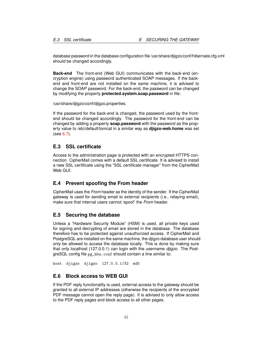database password in the database configuration file /usr/share/djigzo/conf/hibernate.cfg.xml should be changed accordingly.

**Back-end** The front-end (Web GUI) communicates with the back-end (encryption engine) using password authenticated SOAP messages. If the backend and front-end are not installed on the same machine, it is advised to change the SOAP password. For the back-end, the password can be changed by modifying the property **protected.system.soap.password** in file:

/usr/share/djigzo/conf/djigzo.properties.

If the password for the back-end is changed, the password used by the frontend should be changed accordingly. The password for the front-end can be changed by adding a property **soap.password** with the password as the property value to /etc/default/tomcat in a similar way as **djigzo-web.home** was set (see [6.7\)](#page-31-1).

### <span id="page-45-0"></span>**E.3 SSL certificate**

Access to the administration page is protected with an encrypted HTTPS connection. CipherMail comes with a default SSL certificate. It is advised to install a new SSL certificate using the "SSL certificate manager" from the CipherMail Web GUI.

### <span id="page-45-1"></span>**E.4 Prevent spoofing the From header**

CipherMail uses the *From* header as the identity of the sender. If the CipherMail gateway is used for sending email to external recipients (i.e., relaying email), make sure that internal users cannot 'spoof' the *From* header.

#### <span id="page-45-2"></span>**E.5 Securing the database**

Unless a "Hardware Security Module" (HSM) is used, all private keys used for signing and decrypting of email are stored in the database. The database therefore has to be protected against unauthorized access. If CipherMail and PostgreSQL are installed on the same machine, the djigzo database user should only be allowed to access the database locally. This is done by making sure that only localhost (127.0.0.1) can login with the username *djigzo*. The PostgreSQL config file pg\_hba.conf should contain a line similar to:

host djigzo djigzo 127.0.0.1/32 md5

### <span id="page-45-3"></span>**E.6 Block access to WEB GUI**

If the PDF reply functionality is used, external access to the gateway should be granted to all external IP addresses (otherwise the recipients of the encrypted PDF message cannot open the reply page). It is advised to only allow access to the PDF reply pages and block access to all other pages.